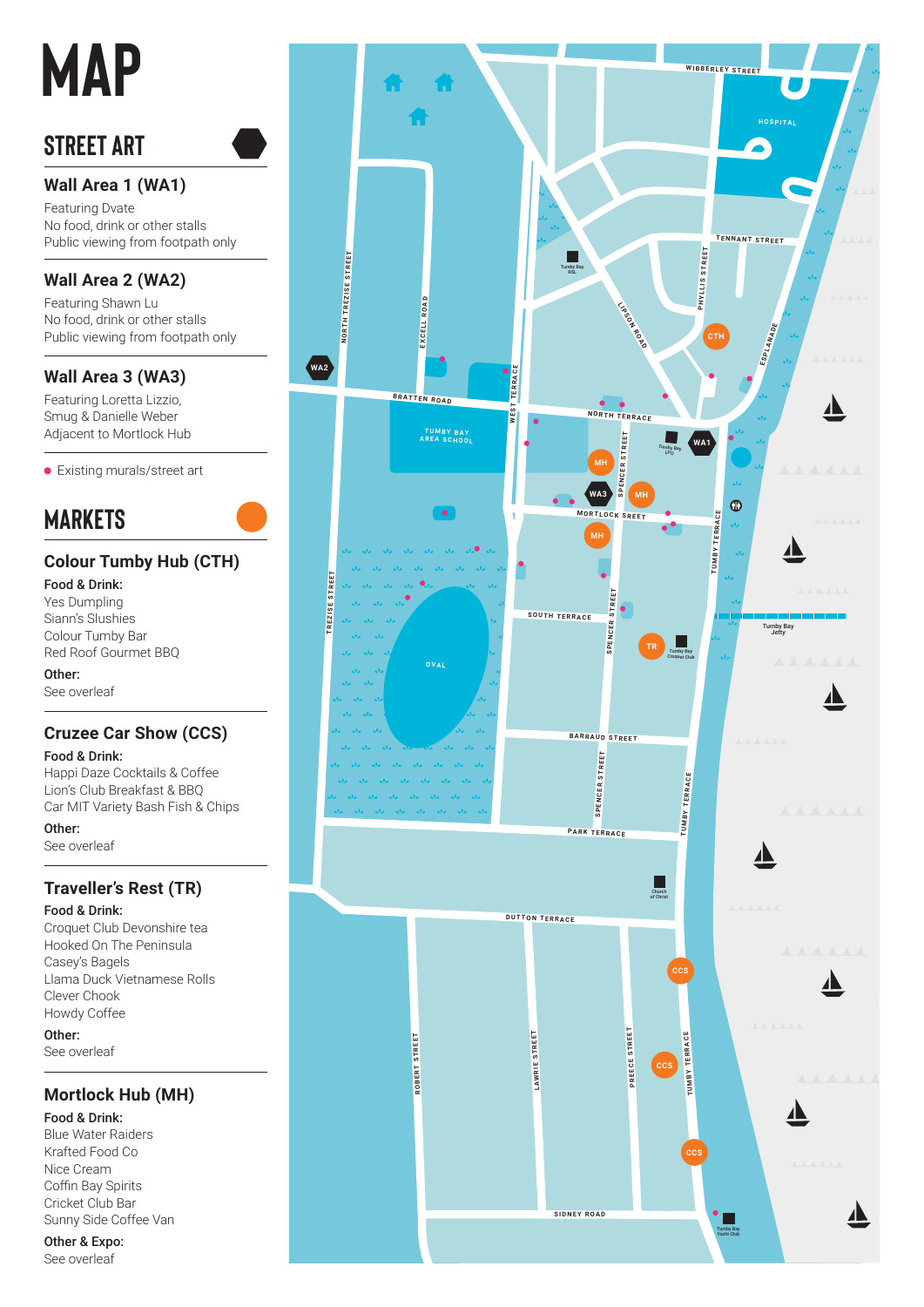# **MAP**

# **street art**

## **Wall Area 1 (WA1)**

Featuring Dvate No food, drink or other stalls Public viewing from footpath only

#### **Wall Area 2 (WA2)**

Featuring Shawn Lu No food, drink or other stalls Public viewing from footpath only

#### **Wall Area 3 (WA3)**

Featuring Loretta Lizzio, Smug & Danielle Weber Adjacent to Mortlock Hub

Existing murals/street art

# **markets**

## **Colour Tumby Hub (CTH)**

Food & Drink: Yes Dumpling Siann's Slushies Colour Tumby Bar Red Roof Gourmet BBQ

Other: See overleaf

## **Cruzee Car Show (CCS)**

Food & Drink:

Happi Daze Cocktails & Coffee Lion's Club Breakfast & BBQ Car MIT Variety Bash Fish & Chips

Other:

See overleaf

## **Traveller's Rest (TR)**

Food & Drink:

Croquet Club Devonshire tea Hooked On The Peninsula Casey's Bagels Llama Duck Vietnamese Rolls Clever Chook Howdy Coffee Other:

See overleaf

## **Mortlock Hub (MH)**

#### Food & Drink:

Blue Water Raiders Krafted Food Co Nice Cream Coffin Bay Spirits Cricket Club Bar Sunny Side Coffee Van

Other & Expo:

See overleaf